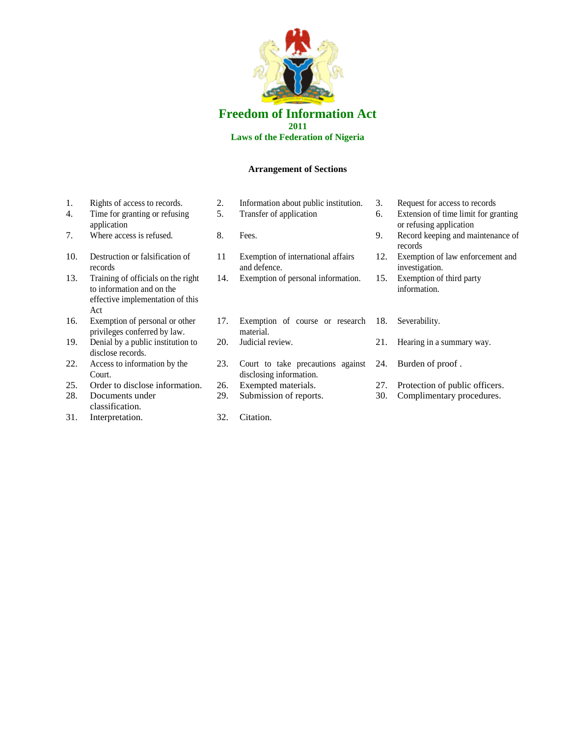

## **Freedom of Information Act 2011 Laws of the Federation of Nigeria**

## **Arrangement of Sections**

- 
- 4. Time for granting or refusing application
- 
- 10. Destruction or falsification of records
- 13. Training of officials on the right to information and on the effective implementation of this Act
- 16. Exemption of personal or other privileges conferred by law.
- 19. Denial by a public institution to disclose records.
- 22. Access to information by the Court.
- 25. Order to disclose information. 26. Exempted materials. 27. Protection of public officers.
- 28. Documents under classification.
- 31. Interpretation. 32. Citation.
- 1. Rights of access to records. 2. Information about public institution. 3. Request for access to records<br>4. Time for granting or refusing 5. Transfer of application 6. Extension of time limit for granting or  $\frac{1}{2}$ . 5. Transfer of application 6. Extension of time limit for granting 7. Where access is refused. 8. Fees. 9. Record keeping and maintenance of
	- 11 Exemption of international affairs and defence.
	- 14. Exemption of personal information. 15.
	- 17. Exemption of course or research material. 20. Judicial review. 21. Hearing in a summary way.
	- 23. Court to take precautions against 24. disclosing information.
	-
	-
- 
- or refusing application
- records
- 12. Exemption of law enforcement and investigation.<br>Exemption of third party
- information.
- 18. Severability.
	-
	- Burden of proof.
- 
- 29. Submission of reports. 30. Complimentary procedures.
	-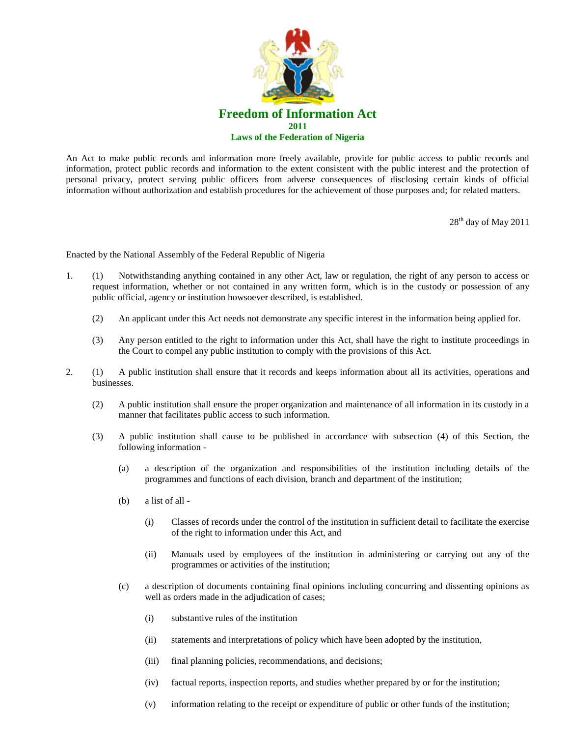

An Act to make public records and information more freely available, provide for public access to public records and information, protect public records and information to the extent consistent with the public interest and the protection of personal privacy, protect serving public officers from adverse consequences of disclosing certain kinds of official information without authorization and establish procedures for the achievement of those purposes and; for related matters.

28<sup>th</sup> day of May 2011

Enacted by the National Assembly of the Federal Republic of Nigeria

- 1. (1) Notwithstanding anything contained in any other Act, law or regulation, the right of any person to access or request information, whether or not contained in any written form, which is in the custody or possession of any public official, agency or institution howsoever described, is established.
	- (2) An applicant under this Act needs not demonstrate any specific interest in the information being applied for.
	- (3) Any person entitled to the right to information under this Act, shall have the right to institute proceedings in the Court to compel any public institution to comply with the provisions of this Act.
- 2. (1) A public institution shall ensure that it records and keeps information about all its activities, operations and businesses.
	- (2) A public institution shall ensure the proper organization and maintenance of all information in its custody in a manner that facilitates public access to such information.
	- (3) A public institution shall cause to be published in accordance with subsection (4) of this Section, the following information -
		- (a) a description of the organization and responsibilities of the institution including details of the programmes and functions of each division, branch and department of the institution;
		- (b) a list of all
			- (i) Classes of records under the control of the institution in sufficient detail to facilitate the exercise of the right to information under this Act, and
			- (ii) Manuals used by employees of the institution in administering or carrying out any of the programmes or activities of the institution;
		- (c) a description of documents containing final opinions including concurring and dissenting opinions as well as orders made in the adjudication of cases;
			- (i) substantive rules of the institution
			- (ii) statements and interpretations of policy which have been adopted by the institution,
			- (iii) final planning policies, recommendations, and decisions;
			- (iv) factual reports, inspection reports, and studies whether prepared by or for the institution;
			- (v) information relating to the receipt or expenditure of public or other funds of the institution;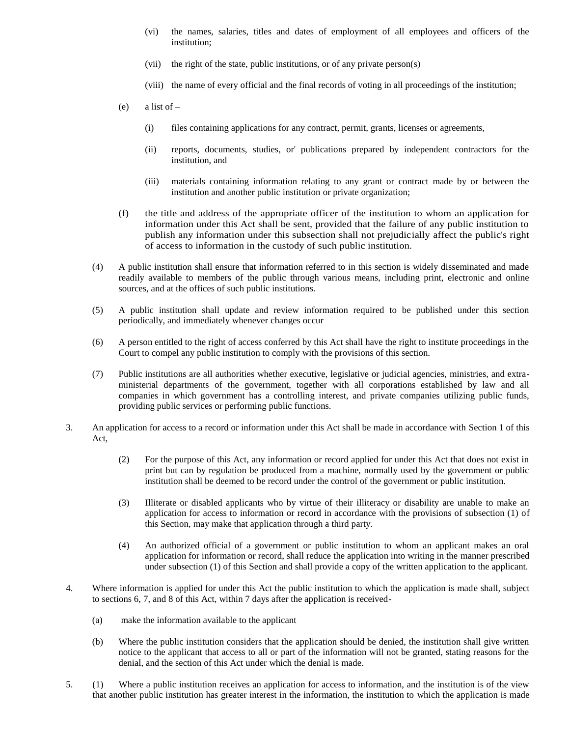- (vi) the names, salaries, titles and dates of employment of all employees and officers of the institution;
- (vii) the right of the state, public institutions, or of any private person(s)
- (viii) the name of every official and the final records of voting in all proceedings of the institution;
- $(e)$  a list of
	- (i) files containing applications for any contract, permit, grants, licenses or agreements,
	- (ii) reports, documents, studies, or' publications prepared by independent contractors for the institution, and
	- (iii) materials containing information relating to any grant or contract made by or between the institution and another public institution or private organization;
- (f) the title and address of the appropriate officer of the institution to whom an application for information under this Act shall be sent, provided that the failure of any public institution to publish any information under this subsection shall not prejudicially affect the public's right of access to information in the custody of such public institution.
- (4) A public institution shall ensure that information referred to in this section is widely disseminated and made readily available to members of the public through various means, including print, electronic and online sources, and at the offices of such public institutions.
- (5) A public institution shall update and review information required to be published under this section periodically, and immediately whenever changes occur
- (6) A person entitled to the right of access conferred by this Act shall have the right to institute proceedings in the Court to compel any public institution to comply with the provisions of this section.
- (7) Public institutions are all authorities whether executive, legislative or judicial agencies, ministries, and extraministerial departments of the government, together with all corporations established by law and all companies in which government has a controlling interest, and private companies utilizing public funds, providing public services or performing public functions.
- 3. An application for access to a record or information under this Act shall be made in accordance with Section 1 of this Act,
	- (2) For the purpose of this Act, any information or record applied for under this Act that does not exist in print but can by regulation be produced from a machine, normally used by the government or public institution shall be deemed to be record under the control of the government or public institution.
	- (3) Illiterate or disabled applicants who by virtue of their illiteracy or disability are unable to make an application for access to information or record in accordance with the provisions of subsection (1) of this Section, may make that application through a third party.
	- (4) An authorized official of a government or public institution to whom an applicant makes an oral application for information or record, shall reduce the application into writing in the manner prescribed under subsection (1) of this Section and shall provide a copy of the written application to the applicant.
- 4. Where information is applied for under this Act the public institution to which the application is made shall, subject to sections 6, 7, and 8 of this Act, within 7 days after the application is received-
	- (a) make the information available to the applicant
	- (b) Where the public institution considers that the application should be denied, the institution shall give written notice to the applicant that access to all or part of the information will not be granted, stating reasons for the denial, and the section of this Act under which the denial is made.
- 5. (1) Where a public institution receives an application for access to information, and the institution is of the view that another public institution has greater interest in the information, the institution to which the application is made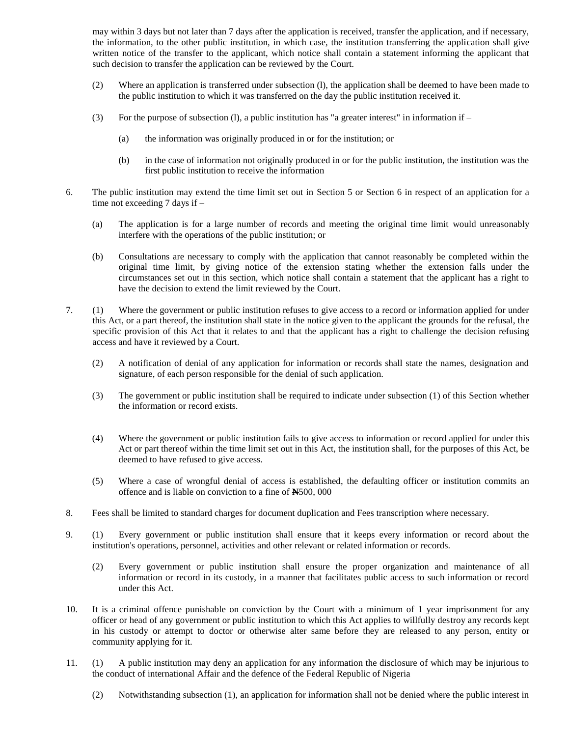may within 3 days but not later than 7 days after the application is received, transfer the application, and if necessary, the information, to the other public institution, in which case, the institution transferring the application shall give written notice of the transfer to the applicant, which notice shall contain a statement informing the applicant that such decision to transfer the application can be reviewed by the Court.

- (2) Where an application is transferred under subsection (l), the application shall be deemed to have been made to the public institution to which it was transferred on the day the public institution received it.
- (3) For the purpose of subsection (1), a public institution has "a greater interest" in information if  $-$ 
	- (a) the information was originally produced in or for the institution; or
	- (b) in the case of information not originally produced in or for the public institution, the institution was the first public institution to receive the information
- 6. The public institution may extend the time limit set out in Section 5 or Section 6 in respect of an application for a time not exceeding 7 days if –
	- (a) The application is for a large number of records and meeting the original time limit would unreasonably interfere with the operations of the public institution; or
	- (b) Consultations are necessary to comply with the application that cannot reasonably be completed within the original time limit, by giving notice of the extension stating whether the extension falls under the circumstances set out in this section, which notice shall contain a statement that the applicant has a right to have the decision to extend the limit reviewed by the Court.
- 7. (1) Where the government or public institution refuses to give access to a record or information applied for under this Act, or a part thereof, the institution shall state in the notice given to the applicant the grounds for the refusal, the specific provision of this Act that it relates to and that the applicant has a right to challenge the decision refusing access and have it reviewed by a Court.
	- (2) A notification of denial of any application for information or records shall state the names, designation and signature, of each person responsible for the denial of such application.
	- (3) The government or public institution shall be required to indicate under subsection (1) of this Section whether the information or record exists.
	- (4) Where the government or public institution fails to give access to information or record applied for under this Act or part thereof within the time limit set out in this Act, the institution shall, for the purposes of this Act, be deemed to have refused to give access.
	- (5) Where a case of wrongful denial of access is established, the defaulting officer or institution commits an offence and is liable on conviction to a fine of **N**500, 000
- 8. Fees shall be limited to standard charges for document duplication and Fees transcription where necessary.
- 9. (1) Every government or public institution shall ensure that it keeps every information or record about the institution's operations, personnel, activities and other relevant or related information or records.
	- (2) Every government or public institution shall ensure the proper organization and maintenance of all information or record in its custody, in a manner that facilitates public access to such information or record under this Act.
- 10. It is a criminal offence punishable on conviction by the Court with a minimum of 1 year imprisonment for any officer or head of any government or public institution to which this Act applies to willfully destroy any records kept in his custody or attempt to doctor or otherwise alter same before they are released to any person, entity or community applying for it.
- 11. (1) A public institution may deny an application for any information the disclosure of which may be injurious to the conduct of international Affair and the defence of the Federal Republic of Nigeria
	- (2) Notwithstanding subsection (1), an application for information shall not be denied where the public interest in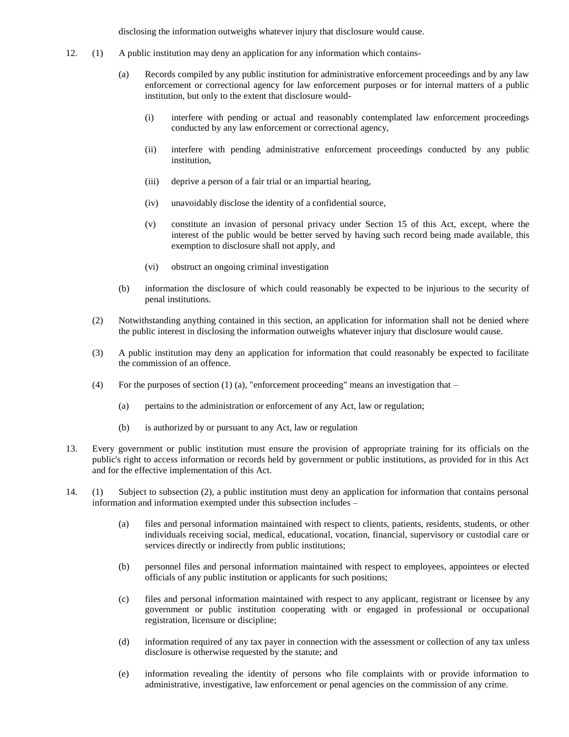disclosing the information outweighs whatever injury that disclosure would cause.

- 12. (1) A public institution may deny an application for any information which contains-
	- (a) Records compiled by any public institution for administrative enforcement proceedings and by any law enforcement or correctional agency for law enforcement purposes or for internal matters of a public institution, but only to the extent that disclosure would-
		- (i) interfere with pending or actual and reasonably contemplated law enforcement proceedings conducted by any law enforcement or correctional agency,
		- (ii) interfere with pending administrative enforcement proceedings conducted by any public institution,
		- (iii) deprive a person of a fair trial or an impartial hearing,
		- (iv) unavoidably disclose the identity of a confidential source,
		- (v) constitute an invasion of personal privacy under Section 15 of this Act, except, where the interest of the public would be better served by having such record being made available, this exemption to disclosure shall not apply, and
		- (vi) obstruct an ongoing criminal investigation
	- (b) information the disclosure of which could reasonably be expected to be injurious to the security of penal institutions.
	- (2) Notwithstanding anything contained in this section, an application for information shall not be denied where the public interest in disclosing the information outweighs whatever injury that disclosure would cause.
	- (3) A public institution may deny an application for information that could reasonably be expected to facilitate the commission of an offence.
	- (4) For the purposes of section (1) (a), "enforcement proceeding" means an investigation that  $-$ 
		- (a) pertains to the administration or enforcement of any Act, law or regulation;
		- (b) is authorized by or pursuant to any Act, law or regulation
- 13. Every government or public institution must ensure the provision of appropriate training for its officials on the public's right to access information or records held by government or public institutions, as provided for in this Act and for the effective implementation of this Act.
- 14. (1) Subject to subsection (2), a public institution must deny an application for information that contains personal information and information exempted under this subsection includes –
	- (a) files and personal information maintained with respect to clients, patients, residents, students, or other individuals receiving social, medical, educational, vocation, financial, supervisory or custodial care or services directly or indirectly from public institutions;
	- (b) personnel files and personal information maintained with respect to employees, appointees or elected officials of any public institution or applicants for such positions;
	- (c) files and personal information maintained with respect to any applicant, registrant or licensee by any government or public institution cooperating with or engaged in professional or occupational registration, licensure or discipline;
	- (d) information required of any tax payer in connection with the assessment or collection of any tax unless disclosure is otherwise requested by the statute; and
	- (e) information revealing the identity of persons who file complaints with or provide information to administrative, investigative, law enforcement or penal agencies on the commission of any crime.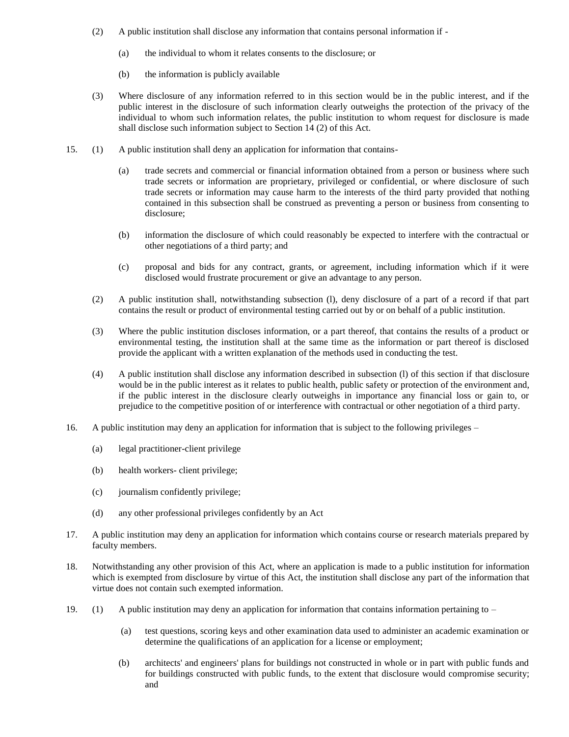- (2) A public institution shall disclose any information that contains personal information if
	- (a) the individual to whom it relates consents to the disclosure; or
	- (b) the information is publicly available
- (3) Where disclosure of any information referred to in this section would be in the public interest, and if the public interest in the disclosure of such information clearly outweighs the protection of the privacy of the individual to whom such information relates, the public institution to whom request for disclosure is made shall disclose such information subject to Section 14 (2) of this Act.
- 15. (1) A public institution shall deny an application for information that contains-
	- (a) trade secrets and commercial or financial information obtained from a person or business where such trade secrets or information are proprietary, privileged or confidential, or where disclosure of such trade secrets or information may cause harm to the interests of the third party provided that nothing contained in this subsection shall be construed as preventing a person or business from consenting to disclosure;
	- (b) information the disclosure of which could reasonably be expected to interfere with the contractual or other negotiations of a third party; and
	- (c) proposal and bids for any contract, grants, or agreement, including information which if it were disclosed would frustrate procurement or give an advantage to any person.
	- (2) A public institution shall, notwithstanding subsection (l), deny disclosure of a part of a record if that part contains the result or product of environmental testing carried out by or on behalf of a public institution.
	- (3) Where the public institution discloses information, or a part thereof, that contains the results of a product or environmental testing, the institution shall at the same time as the information or part thereof is disclosed provide the applicant with a written explanation of the methods used in conducting the test.
	- (4) A public institution shall disclose any information described in subsection (l) of this section if that disclosure would be in the public interest as it relates to public health, public safety or protection of the environment and, if the public interest in the disclosure clearly outweighs in importance any financial loss or gain to, or prejudice to the competitive position of or interference with contractual or other negotiation of a third party.
- 16. A public institution may deny an application for information that is subject to the following privileges
	- (a) legal practitioner-client privilege
	- (b) health workers- client privilege;
	- (c) journalism confidently privilege;
	- (d) any other professional privileges confidently by an Act
- 17. A public institution may deny an application for information which contains course or research materials prepared by faculty members.
- 18. Notwithstanding any other provision of this Act, where an application is made to a public institution for information which is exempted from disclosure by virtue of this Act, the institution shall disclose any part of the information that virtue does not contain such exempted information.
- 19. (1) A public institution may deny an application for information that contains information pertaining to
	- (a) test questions, scoring keys and other examination data used to administer an academic examination or determine the qualifications of an application for a license or employment;
	- (b) architects' and engineers' plans for buildings not constructed in whole or in part with public funds and for buildings constructed with public funds, to the extent that disclosure would compromise security; and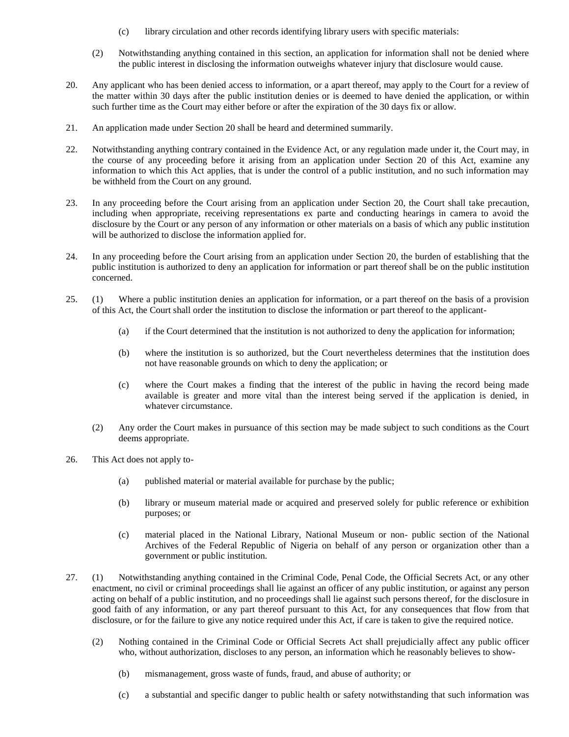- (c) library circulation and other records identifying library users with specific materials:
- (2) Notwithstanding anything contained in this section, an application for information shall not be denied where the public interest in disclosing the information outweighs whatever injury that disclosure would cause.
- 20. Any applicant who has been denied access to information, or a apart thereof, may apply to the Court for a review of the matter within 30 days after the public institution denies or is deemed to have denied the application, or within such further time as the Court may either before or after the expiration of the 30 days fix or allow.
- 21. An application made under Section 20 shall be heard and determined summarily.
- 22. Notwithstanding anything contrary contained in the Evidence Act, or any regulation made under it, the Court may, in the course of any proceeding before it arising from an application under Section 20 of this Act, examine any information to which this Act applies, that is under the control of a public institution, and no such information may be withheld from the Court on any ground.
- 23. In any proceeding before the Court arising from an application under Section 20, the Court shall take precaution, including when appropriate, receiving representations ex parte and conducting hearings in camera to avoid the disclosure by the Court or any person of any information or other materials on a basis of which any public institution will be authorized to disclose the information applied for.
- 24. In any proceeding before the Court arising from an application under Section 20, the burden of establishing that the public institution is authorized to deny an application for information or part thereof shall be on the public institution concerned.
- 25. (1) Where a public institution denies an application for information, or a part thereof on the basis of a provision of this Act, the Court shall order the institution to disclose the information or part thereof to the applicant-
	- (a) if the Court determined that the institution is not authorized to deny the application for information;
	- (b) where the institution is so authorized, but the Court nevertheless determines that the institution does not have reasonable grounds on which to deny the application; or
	- (c) where the Court makes a finding that the interest of the public in having the record being made available is greater and more vital than the interest being served if the application is denied, in whatever circumstance.
	- (2) Any order the Court makes in pursuance of this section may be made subject to such conditions as the Court deems appropriate.
- 26. This Act does not apply to-
	- (a) published material or material available for purchase by the public;
	- (b) library or museum material made or acquired and preserved solely for public reference or exhibition purposes; or
	- (c) material placed in the National Library, National Museum or non- public section of the National Archives of the Federal Republic of Nigeria on behalf of any person or organization other than a government or public institution.
- 27. (1) Notwithstanding anything contained in the Criminal Code, Penal Code, the Official Secrets Act, or any other enactment, no civil or criminal proceedings shall lie against an officer of any public institution, or against any person acting on behalf of a public institution, and no proceedings shall lie against such persons thereof, for the disclosure in good faith of any information, or any part thereof pursuant to this Act, for any consequences that flow from that disclosure, or for the failure to give any notice required under this Act, if care is taken to give the required notice.
	- (2) Nothing contained in the Criminal Code or Official Secrets Act shall prejudicially affect any public officer who, without authorization, discloses to any person, an information which he reasonably believes to show-
		- (b) mismanagement, gross waste of funds, fraud, and abuse of authority; or
		- (c) a substantial and specific danger to public health or safety notwithstanding that such information was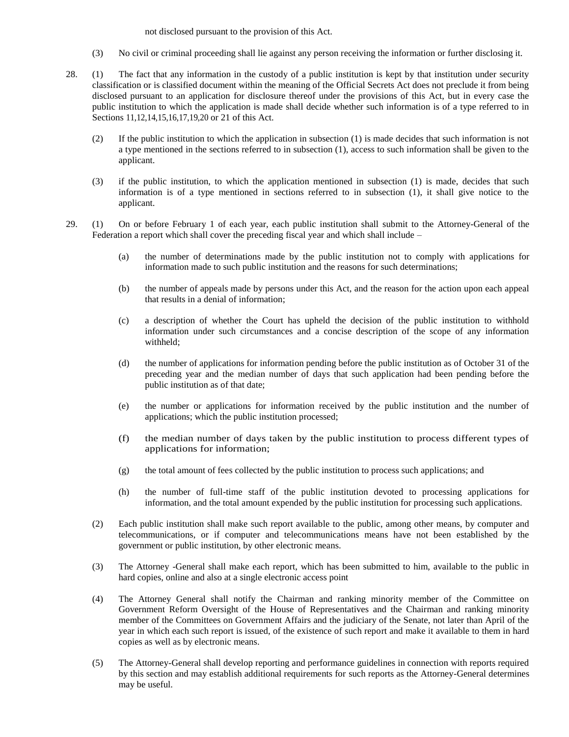not disclosed pursuant to the provision of this Act.

- (3) No civil or criminal proceeding shall lie against any person receiving the information or further disclosing it.
- 28. (1) The fact that any information in the custody of a public institution is kept by that institution under security classification or is classified document within the meaning of the Official Secrets Act does not preclude it from being disclosed pursuant to an application for disclosure thereof under the provisions of this Act, but in every case the public institution to which the application is made shall decide whether such information is of a type referred to in Sections 11,12,14,15,16,17,19,20 or 21 of this Act.
	- (2) If the public institution to which the application in subsection (1) is made decides that such information is not a type mentioned in the sections referred to in subsection (1), access to such information shall be given to the applicant.
	- (3) if the public institution, to which the application mentioned in subsection (1) is made, decides that such information is of a type mentioned in sections referred to in subsection (1), it shall give notice to the applicant.
- 29. (1) On or before February 1 of each year, each public institution shall submit to the Attorney-General of the Federation a report which shall cover the preceding fiscal year and which shall include –
	- (a) the number of determinations made by the public institution not to comply with applications for information made to such public institution and the reasons for such determinations;
	- (b) the number of appeals made by persons under this Act, and the reason for the action upon each appeal that results in a denial of information;
	- (c) a description of whether the Court has upheld the decision of the public institution to withhold information under such circumstances and a concise description of the scope of any information withheld;
	- (d) the number of applications for information pending before the public institution as of October 31 of the preceding year and the median number of days that such application had been pending before the public institution as of that date;
	- (e) the number or applications for information received by the public institution and the number of applications; which the public institution processed;
	- (f) the median number of days taken by the public institution to process different types of applications for information;
	- (g) the total amount of fees collected by the public institution to process such applications; and
	- (h) the number of full-time staff of the public institution devoted to processing applications for information, and the total amount expended by the public institution for processing such applications.
	- (2) Each public institution shall make such report available to the public, among other means, by computer and telecommunications, or if computer and telecommunications means have not been established by the government or public institution, by other electronic means.
	- (3) The Attorney -General shall make each report, which has been submitted to him, available to the public in hard copies, online and also at a single electronic access point
	- (4) The Attorney General shall notify the Chairman and ranking minority member of the Committee on Government Reform Oversight of the House of Representatives and the Chairman and ranking minority member of the Committees on Government Affairs and the judiciary of the Senate, not later than April of the year in which each such report is issued, of the existence of such report and make it available to them in hard copies as well as by electronic means.
	- (5) The Attorney-General shall develop reporting and performance guidelines in connection with reports required by this section and may establish additional requirements for such reports as the Attorney-General determines may be useful.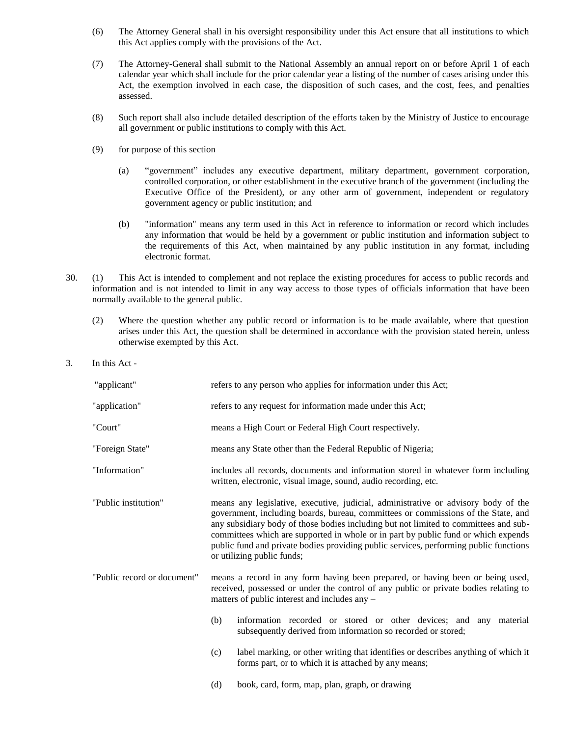- (6) The Attorney General shall in his oversight responsibility under this Act ensure that all institutions to which this Act applies comply with the provisions of the Act.
- (7) The Attorney-General shall submit to the National Assembly an annual report on or before April 1 of each calendar year which shall include for the prior calendar year a listing of the number of cases arising under this Act, the exemption involved in each case, the disposition of such cases, and the cost, fees, and penalties assessed.
- (8) Such report shall also include detailed description of the efforts taken by the Ministry of Justice to encourage all government or public institutions to comply with this Act.
- (9) for purpose of this section
	- (a) "government" includes any executive department, military department, government corporation, controlled corporation, or other establishment in the executive branch of the government (including the Executive Office of the President), or any other arm of government, independent or regulatory government agency or public institution; and
	- (b) "information" means any term used in this Act in reference to information or record which includes any information that would be held by a government or public institution and information subject to the requirements of this Act, when maintained by any public institution in any format, including electronic format.
- 30. (1) This Act is intended to complement and not replace the existing procedures for access to public records and information and is not intended to limit in any way access to those types of officials information that have been normally available to the general public.
	- (2) Where the question whether any public record or information is to be made available, where that question arises under this Act, the question shall be determined in accordance with the provision stated herein, unless otherwise exempted by this Act.
- 3. In this Act -

| "applicant"                 | refers to any person who applies for information under this Act;                                                                                                                                                                                                                                                                                                                                                                                                             |                                                                                                                                                                                                                         |  |
|-----------------------------|------------------------------------------------------------------------------------------------------------------------------------------------------------------------------------------------------------------------------------------------------------------------------------------------------------------------------------------------------------------------------------------------------------------------------------------------------------------------------|-------------------------------------------------------------------------------------------------------------------------------------------------------------------------------------------------------------------------|--|
| "application"               | refers to any request for information made under this Act;                                                                                                                                                                                                                                                                                                                                                                                                                   |                                                                                                                                                                                                                         |  |
| "Court"                     | means a High Court or Federal High Court respectively.                                                                                                                                                                                                                                                                                                                                                                                                                       |                                                                                                                                                                                                                         |  |
| "Foreign State"             | means any State other than the Federal Republic of Nigeria;                                                                                                                                                                                                                                                                                                                                                                                                                  |                                                                                                                                                                                                                         |  |
| "Information"               | includes all records, documents and information stored in whatever form including<br>written, electronic, visual image, sound, audio recording, etc.                                                                                                                                                                                                                                                                                                                         |                                                                                                                                                                                                                         |  |
| "Public institution"        | means any legislative, executive, judicial, administrative or advisory body of the<br>government, including boards, bureau, committees or commissions of the State, and<br>any subsidiary body of those bodies including but not limited to committees and sub-<br>committees which are supported in whole or in part by public fund or which expends<br>public fund and private bodies providing public services, performing public functions<br>or utilizing public funds; |                                                                                                                                                                                                                         |  |
| "Public record or document" |                                                                                                                                                                                                                                                                                                                                                                                                                                                                              | means a record in any form having been prepared, or having been or being used,<br>received, possessed or under the control of any public or private bodies relating to<br>matters of public interest and includes any - |  |
|                             | (b)                                                                                                                                                                                                                                                                                                                                                                                                                                                                          | information recorded or stored or other devices; and any material<br>subsequently derived from information so recorded or stored;                                                                                       |  |
|                             | (c)                                                                                                                                                                                                                                                                                                                                                                                                                                                                          | label marking, or other writing that identifies or describes anything of which it<br>forms part, or to which it is attached by any means;                                                                               |  |
|                             | (d)                                                                                                                                                                                                                                                                                                                                                                                                                                                                          | book, card, form, map, plan, graph, or drawing                                                                                                                                                                          |  |